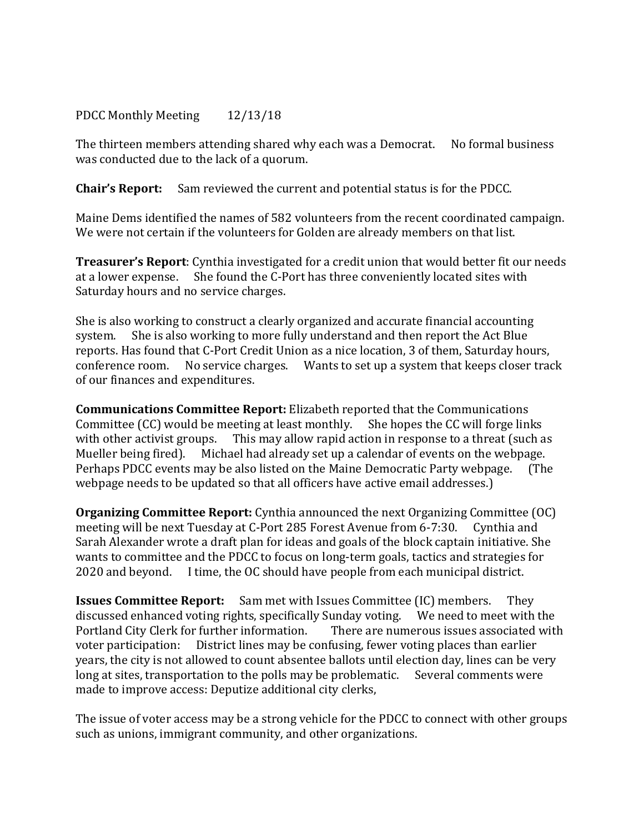## PDCC Monthly Meeting 12/13/18

The thirteen members attending shared why each was a Democrat. No formal business was conducted due to the lack of a quorum.

**Chair's Report:** Sam reviewed the current and potential status is for the PDCC.

Maine Dems identified the names of 582 volunteers from the recent coordinated campaign. We were not certain if the volunteers for Golden are already members on that list.

**Treasurer's Report**: Cynthia investigated for a credit union that would better fit our needs at a lower expense. She found the C-Port has three conveniently located sites with Saturday hours and no service charges.

She is also working to construct a clearly organized and accurate financial accounting<br>system. She is also working to more fully understand and then report the Act Blue She is also working to more fully understand and then report the Act Blue reports. Has found that C-Port Credit Union as a nice location, 3 of them, Saturday hours, conference room. No service charges. Wants to set up a system that keeps closer track of our finances and expenditures.

**Communications Committee Report:** Elizabeth reported that the Communications Committee (CC) would be meeting at least monthly. She hopes the CC will forge links Committee  $(CC)$  would be meeting at least monthly. with other activist groups. This may allow rapid action in response to a threat (such as Mueller being fired). Michael had already set up a calendar of events on the webpage.<br>Perhaps PDCC events may be also listed on the Maine Democratic Party webpage. (The Perhaps PDCC events may be also listed on the Maine Democratic Party webpage. webpage needs to be updated so that all officers have active email addresses.)

**Organizing Committee Report:** Cynthia announced the next Organizing Committee (OC) meeting will be next Tuesday at C-Port 285 Forest Avenue from 6-7:30. Cynthia and Sarah Alexander wrote a draft plan for ideas and goals of the block captain initiative. She wants to committee and the PDCC to focus on long-term goals, tactics and strategies for 2020 and beyond. I time, the OC should have people from each municipal district.

**Issues Committee Report:** Sam met with Issues Committee (IC) members. They discussed enhanced voting rights, specifically Sunday voting. We need to meet with the discussed enhanced voting rights, specifically Sunday voting. We need to meet with the Portland City Clerk for further information. There are numerous issues associated with Portland City Clerk for further information. voter participation: District lines may be confusing, fewer voting places than earlier years, the city is not allowed to count absentee ballots until election day, lines can be very long at sites, transportation to the polls may be problematic. Several comments were made to improve access: Deputize additional city clerks,

The issue of voter access may be a strong vehicle for the PDCC to connect with other groups such as unions, immigrant community, and other organizations.